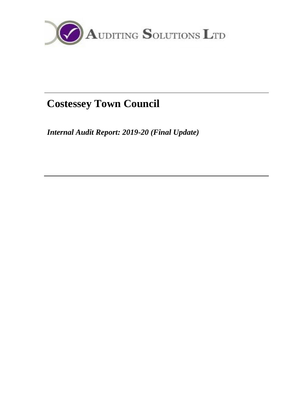

# **Costessey Town Council**

*Internal Audit Report: 2019-20 (Final Update)*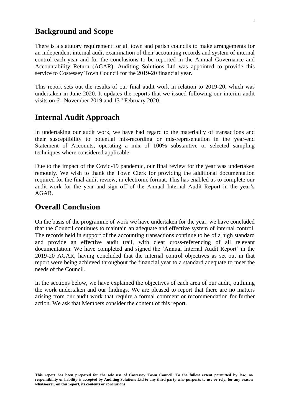## **Background and Scope**

There is a statutory requirement for all town and parish councils to make arrangements for an independent internal audit examination of their accounting records and system of internal control each year and for the conclusions to be reported in the Annual Governance and Accountability Return (AGAR). Auditing Solutions Ltd was appointed to provide this service to Costessey Town Council for the 2019-20 financial year.

This report sets out the results of our final audit work in relation to 2019-20, which was undertaken in June 2020. It updates the reports that we issued following our interim audit visits on 6<sup>th</sup> November 2019 and 13<sup>th</sup> February 2020.

## **Internal Audit Approach**

In undertaking our audit work, we have had regard to the materiality of transactions and their susceptibility to potential mis-recording or mis-representation in the year-end Statement of Accounts, operating a mix of 100% substantive or selected sampling techniques where considered applicable.

Due to the impact of the Covid-19 pandemic, our final review for the year was undertaken remotely. We wish to thank the Town Clerk for providing the additional documentation required for the final audit review, in electronic format. This has enabled us to complete our audit work for the year and sign off of the Annual Internal Audit Report in the year's AGAR.

## **Overall Conclusion**

On the basis of the programme of work we have undertaken for the year, we have concluded that the Council continues to maintain an adequate and effective system of internal control. The records held in support of the accounting transactions continue to be of a high standard and provide an effective audit trail, with clear cross-referencing of all relevant documentation. We have completed and signed the 'Annual Internal Audit Report' in the 2019-20 AGAR, having concluded that the internal control objectives as set out in that report were being achieved throughout the financial year to a standard adequate to meet the needs of the Council.

In the sections below, we have explained the objectives of each area of our audit, outlining the work undertaken and our findings. We are pleased to report that there are no matters arising from our audit work that require a formal comment or recommendation for further action. We ask that Members consider the content of this report.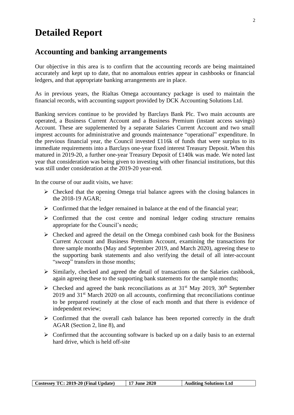## **Detailed Report**

## **Accounting and banking arrangements**

Our objective in this area is to confirm that the accounting records are being maintained accurately and kept up to date, that no anomalous entries appear in cashbooks or financial ledgers, and that appropriate banking arrangements are in place.

As in previous years, the Rialtas Omega accountancy package is used to maintain the financial records, with accounting support provided by DCK Accounting Solutions Ltd.

Banking services continue to be provided by Barclays Bank Plc. Two main accounts are operated, a Business Current Account and a Business Premium (instant access savings) Account. These are supplemented by a separate Salaries Current Account and two small imprest accounts for administrative and grounds maintenance "operational" expenditure. In the previous financial year, the Council invested £116k of funds that were surplus to its immediate requirements into a Barclays one-year fixed interest Treasury Deposit. When this matured in 2019-20, a further one-year Treasury Deposit of £140k was made. We noted last year that consideration was being given to investing with other financial institutions, but this was still under consideration at the 2019-20 year-end.

In the course of our audit visits, we have:

- ➢ Checked that the opening Omega trial balance agrees with the closing balances in the 2018-19 AGAR;
- $\triangleright$  Confirmed that the ledger remained in balance at the end of the financial year;
- ➢ Confirmed that the cost centre and nominal ledger coding structure remains appropriate for the Council's needs;
- ➢ Checked and agreed the detail on the Omega combined cash book for the Business Current Account and Business Premium Account, examining the transactions for three sample months (May and September 2019, and March 2020), agreeing these to the supporting bank statements and also verifying the detail of all inter-account "sweep" transfers in those months;
- ➢ Similarly, checked and agreed the detail of transactions on the Salaries cashbook, again agreeing these to the supporting bank statements for the sample months;
- $\triangleright$  Checked and agreed the bank reconciliations as at 31<sup>st</sup> May 2019, 30<sup>th</sup> September  $2019$  and  $31<sup>st</sup>$  March  $2020$  on all accounts, confirming that reconciliations continue to be prepared routinely at the close of each month and that there is evidence of independent review;
- ➢ Confirmed that the overall cash balance has been reported correctly in the draft AGAR (Section 2, line 8), and
- $\triangleright$  Confirmed that the accounting software is backed up on a daily basis to an external hard drive, which is held off-site

| Costessey TC: 2019-20 (Final Update) | <b>17 June 2020</b> | <b>Auditing Solutions Ltd</b> |
|--------------------------------------|---------------------|-------------------------------|
|                                      |                     |                               |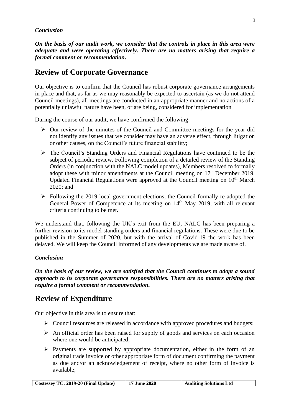#### *Conclusion*

*On the basis of our audit work, we consider that the controls in place in this area were adequate and were operating effectively. There are no matters arising that require a formal comment or recommendation.*

## **Review of Corporate Governance**

Our objective is to confirm that the Council has robust corporate governance arrangements in place and that, as far as we may reasonably be expected to ascertain (as we do not attend Council meetings), all meetings are conducted in an appropriate manner and no actions of a potentially unlawful nature have been, or are being, considered for implementation

During the course of our audit, we have confirmed the following:

- $\triangleright$  Our review of the minutes of the Council and Committee meetings for the year did not identify any issues that we consider may have an adverse effect, through litigation or other causes, on the Council's future financial stability;
- ➢ The Council's Standing Orders and Financial Regulations have continued to be the subject of periodic review. Following completion of a detailed review of the Standing Orders (in conjunction with the NALC model updates), Members resolved to formally adopt these with minor amendments at the Council meeting on  $17<sup>th</sup>$  December 2019. Updated Financial Regulations were approved at the Council meeting on  $10<sup>th</sup>$  March 2020; and
- ➢ Following the 2019 local government elections, the Council formally re-adopted the General Power of Competence at its meeting on 14<sup>th</sup> May 2019, with all relevant criteria continuing to be met.

We understand that, following the UK's exit from the EU, NALC has been preparing a further revision to its model standing orders and financial regulations. These were due to be published in the Summer of 2020, but with the arrival of Covid-19 the work has been delayed. We will keep the Council informed of any developments we are made aware of.

#### *Conclusion*

*On the basis of our review, we are satisfied that the Council continues to adopt a sound approach to its corporate governance responsibilities. There are no matters arising that require a formal comment or recommendation.*

## **Review of Expenditure**

Our objective in this area is to ensure that:

- ➢ Council resources are released in accordance with approved procedures and budgets;
- $\triangleright$  An official order has been raised for supply of goods and services on each occasion where one would be anticipated;
- $\triangleright$  Payments are supported by appropriate documentation, either in the form of an original trade invoice or other appropriate form of document confirming the payment as due and/or an acknowledgement of receipt, where no other form of invoice is available;

| Costessev TC: 2019-20 (Final Update) | $\pm 17$ June 2020 | <b>Auditing Solutions Ltd</b> |
|--------------------------------------|--------------------|-------------------------------|
|                                      |                    |                               |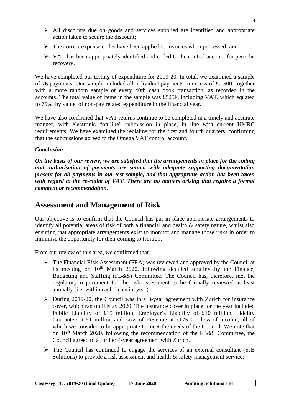- ➢ All discounts due on goods and services supplied are identified and appropriate action taken to secure the discount;
- $\triangleright$  The correct expense codes have been applied to invoices when processed; and
- ➢ VAT has been appropriately identified and coded to the control account for periodic recovery.

We have completed our testing of expenditure for 2019-20. In total, we examined a sample of 76 payments. Our sample included all individual payments in excess of £2,500, together with a more random sample of every 40th cash book transaction, as recorded in the accounts. The total value of items in the sample was £525k, including VAT, which equated to 75%, by value, of non-pay related expenditure in the financial year.

We have also confirmed that VAT returns continue to be completed in a timely and accurate manner, with electronic "on-line" submission in place, in line with current HMRC requirements. We have examined the reclaims for the first and fourth quarters, confirming that the submissions agreed to the Omega VAT control account.

#### *Conclusion*

*On the basis of our review, we are satisfied that the arrangements in place for the coding and authorisation of payments are sound, with adequate supporting documentation present for all payments in our test sample, and that appropriate action has been taken with regard to the re-claim of VAT. There are no matters arising that require a formal comment or recommendation.*

## **Assessment and Management of Risk**

Our objective is to confirm that the Council has put in place appropriate arrangements to identify all potential areas of risk of both a financial and health & safety nature, whilst also ensuring that appropriate arrangements exist to monitor and manage those risks in order to minimise the opportunity for their coming to fruition.

From our review of this area, we confirmed that.

- ➢ The Financial Risk Assessment (FRA) was reviewed and approved by the Council at its meeting on  $10<sup>th</sup>$  March 2020, following detailed scrutiny by the Finance, Budgeting and Staffing (FB&S) Committee. The Council has, therefore, met the regulatory requirement for the risk assessment to be formally reviewed at least annually (i.e. within each financial year).
- ➢ During 2019-20, the Council was in a 3-year agreement with Zurich for insurance cover, which ran until May 2020. The insurance cover in place for the year included Public Liability of £15 million; Employer's Liability of £10 million, Fidelity Guarantee at £1 million and Loss of Revenue at £175,000 loss of income, all of which we consider to be appropriate to meet the needs of the Council. We note that on  $10<sup>th</sup>$  March 2020, following the recommendation of the FB&S Committee, the Council agreed to a further 4-year agreement with Zurich.
- $\triangleright$  The Council has continued to engage the services of an external consultant (SJB Solutions) to provide a risk assessment and health  $\&$  safety management service;

|  | Costessey TC: 2019-20 (Final Update) | 17 June 2020 | <b>Auditing Solutions Ltd</b> |
|--|--------------------------------------|--------------|-------------------------------|
|--|--------------------------------------|--------------|-------------------------------|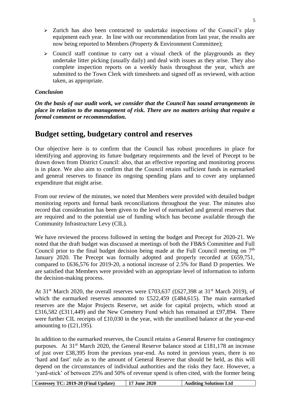- $\geq$  Zurich has also been contracted to undertake inspections of the Council's play equipment each year. In line with our recommendation from last year, the results are now being reported to Members (Property & Environment Committee);
- $\triangleright$  Council staff continue to carry out a visual check of the playgrounds as they undertake litter picking (usually daily) and deal with issues as they arise. They also complete inspection reports on a weekly basis throughout the year, which are submitted to the Town Clerk with timesheets and signed off as reviewed, with action taken, as appropriate.

#### *Conclusion*

*On the basis of our audit work, we consider that the Council has sound arrangements in place in relation to the management of risk. There are no matters arising that require a formal comment or recommendation.*

## **Budget setting, budgetary control and reserves**

Our objective here is to confirm that the Council has robust procedures in place for identifying and approving its future budgetary requirements and the level of Precept to be drawn down from District Council: also, that an effective reporting and monitoring process is in place. We also aim to confirm that the Council retains sufficient funds in earmarked and general reserves to finance its ongoing spending plans and to cover any unplanned expenditure that might arise.

From our review of the minutes, we noted that Members were provided with detailed budget monitoring reports and formal bank reconciliations throughout the year. The minutes also record that consideration has been given to the level of earmarked and general reserves that are required and to the potential use of funding which has become available through the Community Infrastructure Levy (CIL).

We have reviewed the process followed in setting the budget and Precept for 2020-21. We noted that the draft budget was discussed at meetings of both the FB&S Committee and Full Council prior to the final budget decision being made at the Full Council meeting on  $7<sup>th</sup>$ January 2020. The Precept was formally adopted and properly recorded at £659,751, compared to £636,576 for 2019-20, a notional increase of 2.5% for Band D properties. We are satisfied that Members were provided with an appropriate level of information to inform the decision-making process.

At  $31<sup>st</sup>$  March 2020, the overall reserves were £703,637 (£627,398 at  $31<sup>st</sup>$  March 2019), of which the earmarked reserves amounted to £522,459 (£484,615). The main earmarked reserves are the Major Projects Reserve, set aside for capital projects, which stood at £316,582 (£311,449) and the New Cemetery Fund which has remained at £97,894. There were further CIL receipts of £10,030 in the year, with the unutilised balance at the year-end amounting to  $(\text{\pounds}21,195)$ .

In addition to the earmarked reserves, the Council retains a General Reserve for contingency purposes. At  $31<sup>st</sup>$  March 2020, the General Reserve balance stood at £181,178 an increase of just over £38,395 from the previous year-end. As noted in previous years, there is no 'hard and fast' rule as to the amount of General Reserve that should be held, as this will depend on the circumstances of individual authorities and the risks they face. However, a 'yard-stick' of between 25% and 50% of revenue spend is often cited, with the former being

| Costessey TC: 2019-20 (Final Update) | <b>17 June 2020</b> | <b>Auditing Solutions Ltd</b> |
|--------------------------------------|---------------------|-------------------------------|
|--------------------------------------|---------------------|-------------------------------|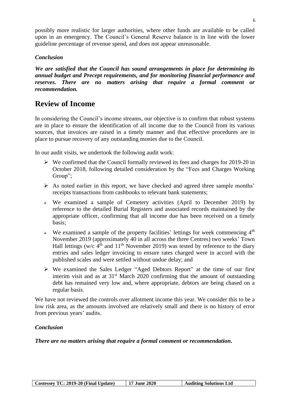possibly more realistic for larger authorities, where other funds are available to be called upon in an emergency. The Council's General Reserve balance is in line with the lower guideline percentage of revenue spend, and does not appear unreasonable.

#### *Conclusion*

*We are satisfied that the Council has sound arrangements in place for determining its annual budget and Precept requirements, and for monitoring financial performance and reserves. There are no matters arising that require a formal comment or recommendation.*

## **Review of Income**

In considering the Council's income streams, our objective is to confirm that robust systems are in place to ensure the identification of all income due to the Council from its various sources, that invoices are raised in a timely manner and that effective procedures are in place to pursue recovery of any outstanding monies due to the Council.

In our audit visits, we undertook the following audit work:

- ➢ We confirmed that the Council formally reviewed its fees and charges for 2019-20 in October 2018, following detailed consideration by the "Fees and Charges Working Group";
- ➢ As noted earlier in this report, we have checked and agreed three sample months' receipts transactions from cashbooks to relevant bank statements;
- ➢ We examined a sample of Cemetery activities (April to December 2019) by reference to the detailed Burial Registers and associated records maintained by the appropriate officer, confirming that all income due has been received on a timely basis;
- $\triangleright$  We examined a sample of the property facilities' lettings for week commencing  $4<sup>th</sup>$ November 2019 (approximately 40 in all across the three Centres) two weeks' Town Hall lettings (w/c  $4<sup>th</sup>$  and  $11<sup>th</sup>$  November 2019) was tested by reference to the diary entries and sales ledger invoicing to ensure rates charged were in accord with the published scales and were settled without undue delay; and
- ➢ We examined the Sales Ledger "Aged Debtors Report" at the time of our first interim visit and as at  $31<sup>st</sup>$  March 2020 confirming that the amount of outstanding debt has remained very low and, where appropriate, debtors are being chased on a regular basis.

We have not reviewed the controls over allotment income this year. We consider this to be a low risk area, as the amounts involved are relatively small and there is no history of error from previous years' audits.

#### *Conclusion*

*There are no matters arising that require a formal comment or recommendation.*

| Costessey TC: 2019-20 (Final Update) | 17 June 2020 | <b>Auditing Solutions Ltd</b> |
|--------------------------------------|--------------|-------------------------------|
|--------------------------------------|--------------|-------------------------------|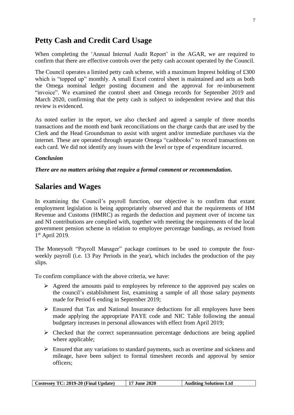## **Petty Cash and Credit Card Usage**

When completing the 'Annual Internal Audit Report' in the AGAR, we are required to confirm that there are effective controls over the petty cash account operated by the Council.

The Council operates a limited petty cash scheme, with a maximum Imprest holding of £300 which is "topped up" monthly. A small Excel control sheet is maintained and acts as both the Omega nominal ledger posting document and the approval for re-imbursement "invoice". We examined the control sheet and Omega records for September 2019 and March 2020, confirming that the petty cash is subject to independent review and that this review is evidenced.

As noted earlier in the report, we also checked and agreed a sample of three months transactions and the month end bank reconciliations on the charge cards that are used by the Clerk and the Head Groundsman to assist with urgent and/or immediate purchases via the internet. These are operated through separate Omega "cashbooks" to record transactions on each card. We did not identify any issues with the level or type of expenditure incurred.

#### *Conclusion*

#### *There are no matters arising that require a formal comment or recommendation.*

## **Salaries and Wages**

In examining the Council's payroll function, our objective is to confirm that extant employment legislation is being appropriately observed and that the requirements of HM Revenue and Customs (HMRC) as regards the deduction and payment over of income tax and NI contributions are complied with, together with meeting the requirements of the local government pension scheme in relation to employee percentage bandings, as revised from 1 st April 2019.

The Moneysoft "Payroll Manager" package continues to be used to compute the fourweekly payroll (i.e. 13 Pay Periods in the year), which includes the production of the pay slips.

To confirm compliance with the above criteria, we have:

- ➢ Agreed the amounts paid to employees by reference to the approved pay scales on the council's establishment list, examining a sample of all those salary payments made for Period 6 ending in September 2019;
- ➢ Ensured that Tax and National Insurance deductions for all employees have been made applying the appropriate PAYE code and NIC Table following the annual budgetary increases in personal allowances with effect from April 2019;
- ➢ Checked that the correct superannuation percentage deductions are being applied where applicable;
- ➢ Ensured that any variations to standard payments, such as overtime and sickness and mileage, have been subject to formal timesheet records and approval by senior officers;

|  | $\vert$ Costessey TC: 2019-20 (Final Update) | 17 June 2020 | <b>Auditing Solutions Ltd</b> |
|--|----------------------------------------------|--------------|-------------------------------|
|--|----------------------------------------------|--------------|-------------------------------|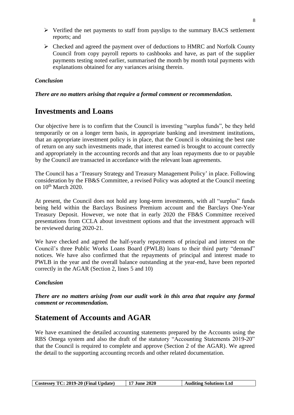- ➢ Verified the net payments to staff from payslips to the summary BACS settlement reports; and
- ➢ Checked and agreed the payment over of deductions to HMRC and Norfolk County Council from copy payroll reports to cashbooks and have, as part of the supplier payments testing noted earlier, summarised the month by month total payments with explanations obtained for any variances arising therein.

#### *Conclusion*

#### *There are no matters arising that require a formal comment or recommendation.*

## **Investments and Loans**

Our objective here is to confirm that the Council is investing "surplus funds", be they held temporarily or on a longer term basis, in appropriate banking and investment institutions, that an appropriate investment policy is in place, that the Council is obtaining the best rate of return on any such investments made, that interest earned is brought to account correctly and appropriately in the accounting records and that any loan repayments due to or payable by the Council are transacted in accordance with the relevant loan agreements.

The Council has a 'Treasury Strategy and Treasury Management Policy' in place. Following consideration by the FB&S Committee, a revised Policy was adopted at the Council meeting on 10th March 2020.

At present, the Council does not hold any long-term investments, with all "surplus" funds being held within the Barclays Business Premium account and the Barclays One-Year Treasury Deposit. However, we note that in early 2020 the FB&S Committee received presentations from CCLA about investment options and that the investment approach will be reviewed during 2020-21.

We have checked and agreed the half-yearly repayments of principal and interest on the Council's three Public Works Loans Board (PWLB) loans to their third party "demand" notices. We have also confirmed that the repayments of principal and interest made to PWLB in the year and the overall balance outstanding at the year-end, have been reported correctly in the AGAR (Section 2, lines 5 and 10)

#### *Conclusion*

*There are no matters arising from our audit work in this area that require any formal comment or recommendation.*

## **Statement of Accounts and AGAR**

We have examined the detailed accounting statements prepared by the Accounts using the RBS Omega system and also the draft of the statutory "Accounting Statements 2019-20" that the Council is required to complete and approve (Section 2 of the AGAR). We agreed the detail to the supporting accounting records and other related documentation.

| Costessey TC: 2019-20 (Final Update) | <b>17 June 2020</b> | <b>Auditing Solutions Ltd</b> |
|--------------------------------------|---------------------|-------------------------------|
|--------------------------------------|---------------------|-------------------------------|